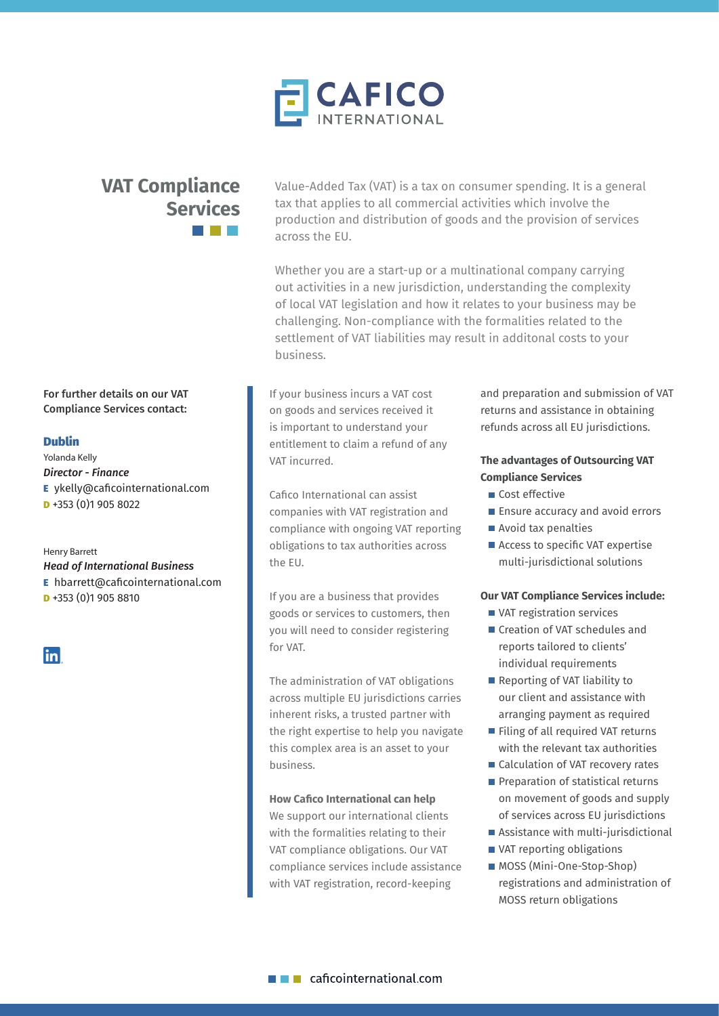

# **VAT Compliance Services**

Value-Added Tax (VAT) is a tax on consumer spending. It is a general tax that applies to all commercial activities which involve the production and distribution of goods and the provision of services across the EU.

Whether you are a start-up or a multinational company carrying out activities in a new jurisdiction, understanding the complexity of local VAT legislation and how it relates to your business may be challenging. Non-compliance with the formalities related to the settlement of VAT liabilities may result in additonal costs to your business.

If your business incurs a VAT cost on goods and services received it is important to understand your entitlement to claim a refund of any VAT incurred.

Cafico International can assist companies with VAT registration and compliance with ongoing VAT reporting obligations to tax authorities across the EU.

If you are a business that provides goods or services to customers, then you will need to consider registering for VAT.

The administration of VAT obligations across multiple EU jurisdictions carries inherent risks, a trusted partner with the right expertise to help you navigate this complex area is an asset to your business.

## **How Cafico International can help**

We support our international clients with the formalities relating to their VAT compliance obligations. Our VAT compliance services include assistance with VAT registration, record-keeping

and preparation and submission of VAT returns and assistance in obtaining refunds across all EU jurisdictions.

# **The advantages of Outsourcing VAT Compliance Services**

- Cost effective
- **Ensure accuracy and avoid errors**
- Avoid tax penalties
- Access to specific VAT expertise multi-jurisdictional solutions

#### **Our VAT Compliance Services include:**

- VAT registration services
- Creation of VAT schedules and reports tailored to clients' individual requirements
- Reporting of VAT liability to our client and assistance with arranging payment as required
- Filing of all required VAT returns with the relevant tax authorities
- Calculation of VAT recovery rates
- Preparation of statistical returns on movement of goods and supply of services across EU jurisdictions
- Assistance with multi-jurisdictional
- VAT reporting obligations
- **MOSS** (Mini-One-Stop-Shop) registrations and administration of MOSS return obligations

# For further details on our VAT Compliance Services contact:

## Dublin

Yolanda Kelly *Director - Finance* E ykelly@caficointernational.com **D** +353 (0)1 905 8022

Henry Barrett *Head of International Business* E hbarrett@caficointernational.com **D** +353 (0)1 905 8810